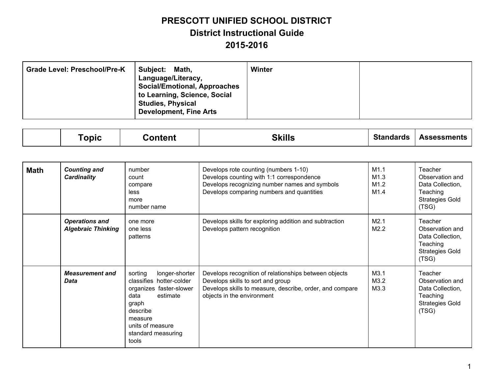| <b>Grade Level: Preschool/Pre-K</b> | <b>Subject:</b><br>Math,<br>Language/Literacy,<br><b>Social/Emotional, Approaches</b><br>to Learning, Science, Social<br><b>Studies, Physical</b><br><b>Development, Fine Arts</b> | Winter |  |
|-------------------------------------|------------------------------------------------------------------------------------------------------------------------------------------------------------------------------------|--------|--|
|-------------------------------------|------------------------------------------------------------------------------------------------------------------------------------------------------------------------------------|--------|--|

|  | opic | ∶ontent | <b>CITII</b><br>¬ .<br>лшэ. | Standards | ssessments<br>$\cdots$ |
|--|------|---------|-----------------------------|-----------|------------------------|
|--|------|---------|-----------------------------|-----------|------------------------|

| Math | <b>Counting and</b><br><b>Cardinality</b>          | number<br>count<br>compare<br>less<br>more<br>number name                                                                                                                               | Develops rote counting (numbers 1-10)<br>Develops counting with 1:1 correspondence<br>Develops recognizing number names and symbols<br>Develops comparing numbers and quantities     | M1.1<br>M1.3<br>M1.2<br>M1.4 | Teacher<br>Observation and<br>Data Collection,<br>Teaching<br><b>Strategies Gold</b><br>(TSG) |
|------|----------------------------------------------------|-----------------------------------------------------------------------------------------------------------------------------------------------------------------------------------------|--------------------------------------------------------------------------------------------------------------------------------------------------------------------------------------|------------------------------|-----------------------------------------------------------------------------------------------|
|      | <b>Operations and</b><br><b>Algebraic Thinking</b> | one more<br>one less<br>patterns                                                                                                                                                        | Develops skills for exploring addition and subtraction<br>Develops pattern recognition                                                                                               | M2.1<br>M2.2                 | Teacher<br>Observation and<br>Data Collection,<br>Teaching<br><b>Strategies Gold</b><br>(TSG) |
|      | <b>Measurement and</b><br>Data                     | sorting<br>longer-shorter<br>classifies hotter-colder<br>organizes faster-slower<br>data<br>estimate<br>graph<br>describe<br>measure<br>units of measure<br>standard measuring<br>tools | Develops recognition of relationships between objects<br>Develops skills to sort and group<br>Develops skills to measure, describe, order, and compare<br>objects in the environment | M3.1<br>M3.2<br>M3.3         | Teacher<br>Observation and<br>Data Collection,<br>Teaching<br><b>Strategies Gold</b><br>(TSG) |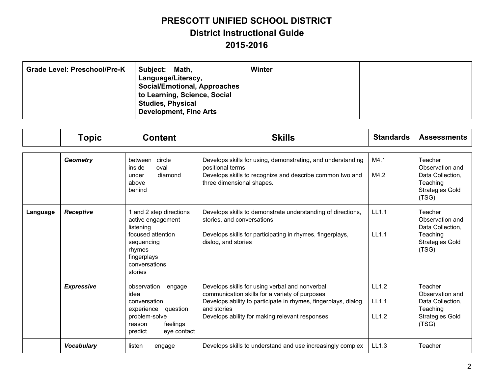| <b>Grade Level: Preschool/Pre-K</b> | <b>Subject:</b><br>Math,<br>Language/Literacy,<br><b>Social/Emotional, Approaches</b><br>to Learning, Science, Social<br><b>Studies, Physical</b><br><b>Development, Fine Arts</b> | Winter |  |
|-------------------------------------|------------------------------------------------------------------------------------------------------------------------------------------------------------------------------------|--------|--|
|-------------------------------------|------------------------------------------------------------------------------------------------------------------------------------------------------------------------------------|--------|--|

|          | <b>Topic</b>      | <b>Content</b>                                                                                                                                    | <b>Skills</b>                                                                                                                                                                                                                        | <b>Standards</b>               | <b>Assessments</b>                                                                            |
|----------|-------------------|---------------------------------------------------------------------------------------------------------------------------------------------------|--------------------------------------------------------------------------------------------------------------------------------------------------------------------------------------------------------------------------------------|--------------------------------|-----------------------------------------------------------------------------------------------|
|          | <b>Geometry</b>   | between<br>circle<br>inside<br>oval<br>diamond<br>under<br>above<br>behind                                                                        | Develops skills for using, demonstrating, and understanding<br>positional terms<br>Develops skills to recognize and describe common two and<br>three dimensional shapes.                                                             | M4.1<br>M4.2                   | Teacher<br>Observation and<br>Data Collection,<br>Teaching<br><b>Strategies Gold</b><br>(TSG) |
| Language | <b>Receptive</b>  | 1 and 2 step directions<br>active engagement<br>listening<br>focused attention<br>sequencing<br>rhymes<br>fingerplays<br>conversations<br>stories | Develops skills to demonstrate understanding of directions,<br>stories, and conversations<br>Develops skills for participating in rhymes, fingerplays,<br>dialog, and stories                                                        | LL1.1<br>LL1.1                 | Teacher<br>Observation and<br>Data Collection,<br>Teaching<br><b>Strategies Gold</b><br>(TSG) |
|          | <b>Expressive</b> | observation<br>engage<br>idea<br>conversation<br>experience<br>question<br>problem-solve<br>feelings<br>reason<br>predict<br>eye contact          | Develops skills for using verbal and nonverbal<br>communication skills for a variety of purposes<br>Develops ability to participate in rhymes, fingerplays, dialog,<br>and stories<br>Develops ability for making relevant responses | LL1.2<br>LL1.1<br><b>LL1.2</b> | Teacher<br>Observation and<br>Data Collection,<br>Teaching<br><b>Strategies Gold</b><br>(TSG) |
|          | <b>Vocabulary</b> | listen<br>engage                                                                                                                                  | Develops skills to understand and use increasingly complex                                                                                                                                                                           | LL1.3                          | Teacher                                                                                       |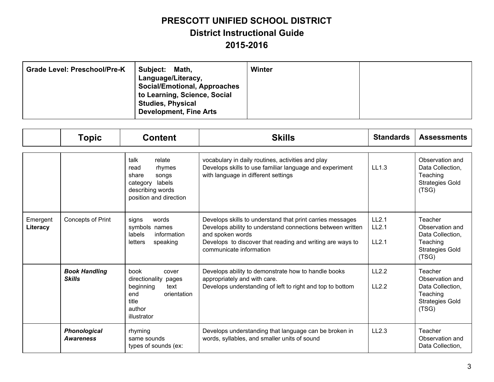| <b>Subject:</b><br><b>Grade Level: Preschool/Pre-K</b> | Math,<br>Language/Literacy,<br><b>Social/Emotional, Approaches</b><br>to Learning, Science, Social<br><b>Studies, Physical</b><br><b>Development, Fine Arts</b> | Winter |  |
|--------------------------------------------------------|-----------------------------------------------------------------------------------------------------------------------------------------------------------------|--------|--|
|--------------------------------------------------------|-----------------------------------------------------------------------------------------------------------------------------------------------------------------|--------|--|

|                      | <b>Topic</b>                            | <b>Content</b>                                                                                                         | <b>Skills</b>                                                                                                                                                                                                                       | <b>Standards</b>        | <b>Assessments</b>                                                                            |
|----------------------|-----------------------------------------|------------------------------------------------------------------------------------------------------------------------|-------------------------------------------------------------------------------------------------------------------------------------------------------------------------------------------------------------------------------------|-------------------------|-----------------------------------------------------------------------------------------------|
|                      |                                         | talk<br>relate<br>rhymes<br>read<br>share<br>songs<br>labels<br>category<br>describing words<br>position and direction | vocabulary in daily routines, activities and play<br>Develops skills to use familiar language and experiment<br>with language in different settings                                                                                 | LL1.3                   | Observation and<br>Data Collection,<br>Teaching<br><b>Strategies Gold</b><br>(TSG)            |
| Emergent<br>Literacy | Concepts of Print                       | words<br>signs<br>symbols names<br>labels<br>information<br>letters<br>speaking                                        | Develops skills to understand that print carries messages<br>Develops ability to understand connections between written<br>and spoken words<br>Develops to discover that reading and writing are ways to<br>communicate information | LL2.1<br>LL2.1<br>LL2.1 | Teacher<br>Observation and<br>Data Collection,<br>Teaching<br><b>Strategies Gold</b><br>(TSG) |
|                      | <b>Book Handling</b><br><b>Skills</b>   | book<br>cover<br>directionality pages<br>beginning<br>text<br>orientation<br>end<br>title<br>author<br>illustrator     | Develops ability to demonstrate how to handle books<br>appropriately and with care.<br>Develops understanding of left to right and top to bottom                                                                                    | LL2.2<br>LL2.2          | Teacher<br>Observation and<br>Data Collection,<br>Teaching<br><b>Strategies Gold</b><br>(TSG) |
|                      | <b>Phonological</b><br><b>Awareness</b> | rhyming<br>same sounds<br>types of sounds (ex:                                                                         | Develops understanding that language can be broken in<br>words, syllables, and smaller units of sound                                                                                                                               | LL2.3                   | Teacher<br>Observation and<br>Data Collection,                                                |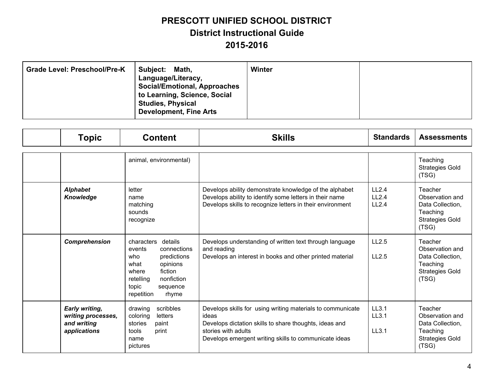| <b>Grade Level: Preschool/Pre-K</b><br>Subject:<br>Math,<br>Language/Literacy,<br><b>Social/Emotional, Approaches</b><br>to Learning, Science, Social<br><b>Studies, Physical</b><br><b>Development, Fine Arts</b> | Winter |  |
|--------------------------------------------------------------------------------------------------------------------------------------------------------------------------------------------------------------------|--------|--|
|--------------------------------------------------------------------------------------------------------------------------------------------------------------------------------------------------------------------|--------|--|

| <b>Topic</b>                                                               | <b>Content</b>                                                                                                                                                                      | <b>Skills</b>                                                                                                                                                                                                 | <b>Standards</b>        | <b>Assessments</b>                                                                            |
|----------------------------------------------------------------------------|-------------------------------------------------------------------------------------------------------------------------------------------------------------------------------------|---------------------------------------------------------------------------------------------------------------------------------------------------------------------------------------------------------------|-------------------------|-----------------------------------------------------------------------------------------------|
|                                                                            | animal, environmental)                                                                                                                                                              |                                                                                                                                                                                                               |                         | Teaching<br><b>Strategies Gold</b><br>(TSG)                                                   |
| <b>Alphabet</b><br><b>Knowledge</b>                                        | letter<br>name<br>matching<br>sounds<br>recognize                                                                                                                                   | Develops ability demonstrate knowledge of the alphabet<br>Develops ability to identify some letters in their name<br>Develops skills to recognize letters in their environment                                | LL2.4<br>LL2.4<br>LL2.4 | Teacher<br>Observation and<br>Data Collection,<br>Teaching<br><b>Strategies Gold</b><br>(TSG) |
| Comprehension                                                              | characters<br>details<br>events<br>connections<br>who<br>predictions<br>opinions<br>what<br>where<br>fiction<br>nonfiction<br>retelling<br>topic<br>sequence<br>rhyme<br>repetition | Develops understanding of written text through language<br>and reading<br>Develops an interest in books and other printed material                                                                            | LL2.5<br>LL2.5          | Teacher<br>Observation and<br>Data Collection,<br>Teaching<br><b>Strategies Gold</b><br>(TSG) |
| <b>Early writing,</b><br>writing processes,<br>and writing<br>applications | scribbles<br>drawing<br>letters<br>coloring<br>stories<br>paint<br>tools<br>print<br>name<br>pictures                                                                               | Develops skills for using writing materials to communicate<br>ideas<br>Develops dictation skills to share thoughts, ideas and<br>stories with adults<br>Develops emergent writing skills to communicate ideas | LL3.1<br>LL3.1<br>LL3.1 | Teacher<br>Observation and<br>Data Collection,<br>Teaching<br><b>Strategies Gold</b><br>(TSG) |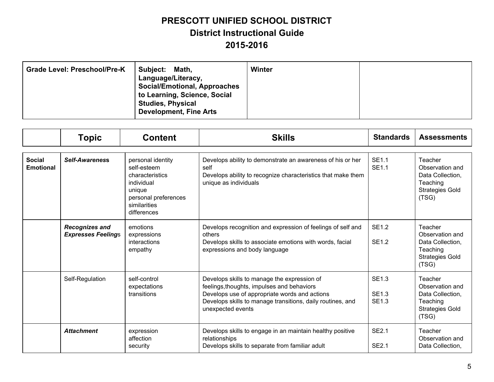| <b>Grade Level: Preschool/Pre-K</b> | Subject:<br>Math,<br>Language/Literacy,<br><b>Social/Emotional, Approaches</b><br>to Learning, Science, Social<br><b>Studies, Physical</b><br><b>Development, Fine Arts</b> | Winter |  |
|-------------------------------------|-----------------------------------------------------------------------------------------------------------------------------------------------------------------------------|--------|--|
|-------------------------------------|-----------------------------------------------------------------------------------------------------------------------------------------------------------------------------|--------|--|

|                                   | <b>Topic</b>                                       | <b>Content</b>                                                                                                                     | <b>Skills</b>                                                                                                                                                                                                                 | <b>Standards</b>                             | <b>Assessments</b>                                                                            |
|-----------------------------------|----------------------------------------------------|------------------------------------------------------------------------------------------------------------------------------------|-------------------------------------------------------------------------------------------------------------------------------------------------------------------------------------------------------------------------------|----------------------------------------------|-----------------------------------------------------------------------------------------------|
| <b>Social</b><br><b>Emotional</b> | <b>Self-Awareness</b>                              | personal identity<br>self-esteem<br>characteristics<br>individual<br>unique<br>personal preferences<br>similarities<br>differences | Develops ability to demonstrate an awareness of his or her<br>self<br>Develops ability to recognize characteristics that make them<br>unique as individuals                                                                   | <b>SE1.1</b><br><b>SE1.1</b>                 | Teacher<br>Observation and<br>Data Collection,<br>Teaching<br><b>Strategies Gold</b><br>(TSG) |
|                                   | <b>Recognizes and</b><br><b>Expresses Feelings</b> | emotions<br>expressions<br>interactions<br>empathy                                                                                 | Develops recognition and expression of feelings of self and<br>others<br>Develops skills to associate emotions with words, facial<br>expressions and body language                                                            | <b>SE1.2</b><br><b>SE1.2</b>                 | Teacher<br>Observation and<br>Data Collection,<br>Teaching<br><b>Strategies Gold</b><br>(TSG) |
|                                   | Self-Regulation                                    | self-control<br>expectations<br>transitions                                                                                        | Develops skills to manage the expression of<br>feelings, thoughts, impulses and behaviors<br>Develops use of appropriate words and actions<br>Develops skills to manage transitions, daily routines, and<br>unexpected events | <b>SE1.3</b><br><b>SE1.3</b><br><b>SE1.3</b> | Teacher<br>Observation and<br>Data Collection,<br>Teaching<br><b>Strategies Gold</b><br>(TSG) |
|                                   | <b>Attachment</b>                                  | expression<br>affection<br>security                                                                                                | Develops skills to engage in an maintain healthy positive<br>relationships<br>Develops skills to separate from familiar adult                                                                                                 | <b>SE2.1</b><br><b>SE2.1</b>                 | Teacher<br>Observation and<br>Data Collection,                                                |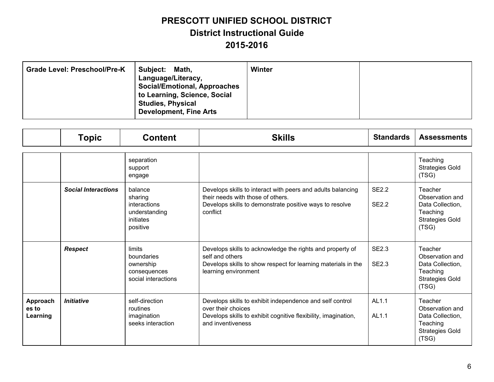| Subject:<br><b>Grade Level: Preschool/Pre-K</b><br>Math,<br>Language/Literacy,<br><b>Social/Emotional, Approaches</b><br>to Learning, Science, Social<br><b>Studies, Physical</b><br><b>Development, Fine Arts</b> | Winter |  |
|--------------------------------------------------------------------------------------------------------------------------------------------------------------------------------------------------------------------|--------|--|
|--------------------------------------------------------------------------------------------------------------------------------------------------------------------------------------------------------------------|--------|--|

|                               | <b>Topic</b>               | <b>Content</b>                                                               | <b>Skills</b>                                                                                                                                                           | <b>Standards</b>             | <b>Assessments</b>                                                                            |
|-------------------------------|----------------------------|------------------------------------------------------------------------------|-------------------------------------------------------------------------------------------------------------------------------------------------------------------------|------------------------------|-----------------------------------------------------------------------------------------------|
|                               |                            |                                                                              |                                                                                                                                                                         |                              |                                                                                               |
|                               |                            | separation<br>support<br>engage                                              |                                                                                                                                                                         |                              | Teaching<br><b>Strategies Gold</b><br>(TSG)                                                   |
|                               | <b>Social Interactions</b> | balance<br>sharing<br>interactions<br>understanding<br>initiates<br>positive | Develops skills to interact with peers and adults balancing<br>their needs with those of others.<br>Develops skills to demonstrate positive ways to resolve<br>conflict | <b>SE2.2</b><br><b>SE2.2</b> | Teacher<br>Observation and<br>Data Collection,<br>Teaching<br><b>Strategies Gold</b><br>(TSG) |
|                               | <b>Respect</b>             | limits<br>boundaries<br>ownership<br>consequences<br>social interactions     | Develops skills to acknowledge the rights and property of<br>self and others<br>Develops skills to show respect for learning materials in the<br>learning environment   | <b>SE2.3</b><br><b>SE2.3</b> | Teacher<br>Observation and<br>Data Collection,<br>Teaching<br><b>Strategies Gold</b><br>(TSG) |
| Approach<br>es to<br>Learning | <b>Initiative</b>          | self-direction<br>routines<br>imagination<br>seeks interaction               | Develops skills to exhibit independence and self control<br>over their choices<br>Develops skills to exhibit cognitive flexibility, imagination,<br>and inventiveness   | AL1.1<br>AL1.1               | Teacher<br>Observation and<br>Data Collection,<br>Teaching<br><b>Strategies Gold</b><br>(TSG) |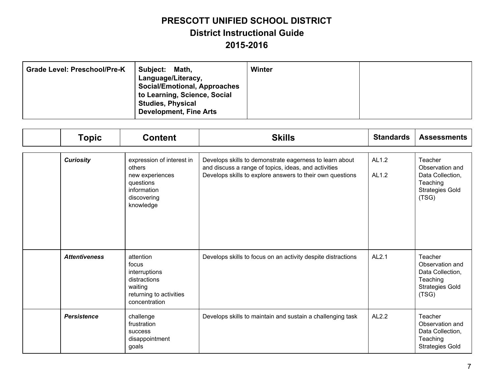| Grade Level: Preschool/Pre-K<br>Subject:<br>Math,<br>Language/Literacy,<br><b>Social/Emotional, Approaches</b><br>to Learning, Science, Social<br><b>Studies, Physical</b><br><b>Development, Fine Arts</b> | Winter |  |
|-------------------------------------------------------------------------------------------------------------------------------------------------------------------------------------------------------------|--------|--|
|-------------------------------------------------------------------------------------------------------------------------------------------------------------------------------------------------------------|--------|--|

| <b>Topic</b>         | <b>Content</b>                                                                                                 | <b>Skills</b>                                                                                                                                                                | <b>Standards</b> | <b>Assessments</b>                                                                            |
|----------------------|----------------------------------------------------------------------------------------------------------------|------------------------------------------------------------------------------------------------------------------------------------------------------------------------------|------------------|-----------------------------------------------------------------------------------------------|
| <b>Curiosity</b>     | expression of interest in<br>others<br>new experiences<br>questions<br>information<br>discovering<br>knowledge | Develops skills to demonstrate eagerness to learn about<br>and discuss a range of topics, ideas, and activities<br>Develops skills to explore answers to their own questions | AL1.2<br>AL1.2   | Teacher<br>Observation and<br>Data Collection,<br>Teaching<br><b>Strategies Gold</b><br>(TSG) |
| <b>Attentiveness</b> | attention<br>focus<br>interruptions<br>distractions<br>waiting<br>returning to activities<br>concentration     | Develops skills to focus on an activity despite distractions                                                                                                                 | AL2.1            | Teacher<br>Observation and<br>Data Collection,<br>Teaching<br><b>Strategies Gold</b><br>(TSG) |
| <b>Persistence</b>   | challenge<br>frustration<br><b>SUCCESS</b><br>disappointment<br>goals                                          | Develops skills to maintain and sustain a challenging task                                                                                                                   | AL2.2            | Teacher<br>Observation and<br>Data Collection,<br>Teaching<br><b>Strategies Gold</b>          |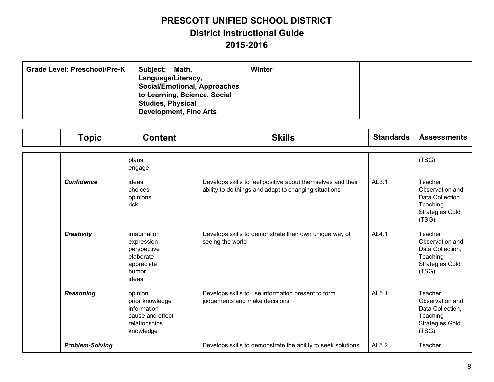| Grade Level: Preschool/Pre-K<br>Subject:<br>Math,<br>Language/Literacy,<br><b>Social/Emotional, Approaches</b><br>to Learning, Science, Social<br><b>Studies, Physical</b><br><b>Development, Fine Arts</b> | Winter |  |
|-------------------------------------------------------------------------------------------------------------------------------------------------------------------------------------------------------------|--------|--|
|-------------------------------------------------------------------------------------------------------------------------------------------------------------------------------------------------------------|--------|--|

| <b>Topic</b>           | <b>Content</b>                                                                              | <b>Skills</b>                                                                                                        | <b>Standards</b> | <b>Assessments</b>                                                                            |
|------------------------|---------------------------------------------------------------------------------------------|----------------------------------------------------------------------------------------------------------------------|------------------|-----------------------------------------------------------------------------------------------|
|                        | plans<br>engage                                                                             |                                                                                                                      |                  | (TSG)                                                                                         |
| <b>Confidence</b>      | ideas<br>choices<br>opinions<br>risk                                                        | Develops skills to feel positive about themselves and their<br>ability to do things and adapt to changing situations | AL3.1            | Teacher<br>Observation and<br>Data Collection,<br>Teaching<br><b>Strategies Gold</b><br>(TSG) |
| <b>Creativity</b>      | imagination<br>expression<br>perspective<br>elaborate<br>appreciate<br>humor<br>ideas       | Develops skills to demonstrate their own unique way of<br>seeing the world                                           | AL4.1            | Teacher<br>Observation and<br>Data Collection,<br>Teaching<br><b>Strategies Gold</b><br>(TSG) |
| <b>Reasoning</b>       | opinion<br>prior knowledge<br>information<br>cause and effect<br>relationships<br>knowledge | Develops skills to use information present to form<br>judgements and make decisions                                  | AL5.1            | Teacher<br>Observation and<br>Data Collection,<br>Teaching<br><b>Strategies Gold</b><br>(TSG) |
| <b>Problem-Solving</b> |                                                                                             | Develops skills to demonstrate the ability to seek solutions                                                         | AL5.2            | Teacher                                                                                       |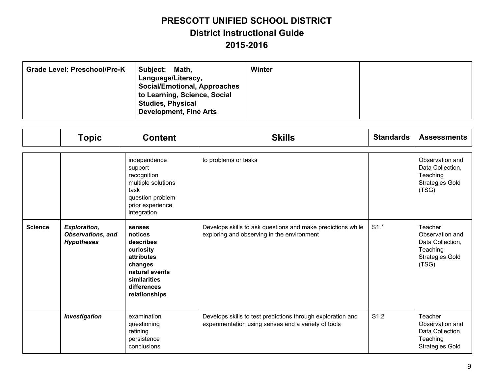| <b>Grade Level: Preschool/Pre-K</b> | Subject:<br>Math,<br>Language/Literacy,<br><b>Social/Emotional, Approaches</b><br>to Learning, Science, Social<br><b>Studies, Physical</b><br><b>Development, Fine Arts</b> | Winter |  |
|-------------------------------------|-----------------------------------------------------------------------------------------------------------------------------------------------------------------------------|--------|--|
|-------------------------------------|-----------------------------------------------------------------------------------------------------------------------------------------------------------------------------|--------|--|

|                | <b>Topic</b>                                                         | <b>Content</b>                                                                                                                         | <b>Skills</b>                                                                                                      | <b>Standards</b> | <b>Assessments</b>                                                                            |
|----------------|----------------------------------------------------------------------|----------------------------------------------------------------------------------------------------------------------------------------|--------------------------------------------------------------------------------------------------------------------|------------------|-----------------------------------------------------------------------------------------------|
|                |                                                                      | independence<br>support<br>recognition<br>multiple solutions<br>task<br>question problem<br>prior experience<br>integration            | to problems or tasks                                                                                               |                  | Observation and<br>Data Collection,<br>Teaching<br><b>Strategies Gold</b><br>(TSG)            |
| <b>Science</b> | <b>Exploration,</b><br><b>Observations, and</b><br><b>Hypotheses</b> | senses<br>notices<br>describes<br>curiosity<br>attributes<br>changes<br>natural events<br>similarities<br>differences<br>relationships | Develops skills to ask questions and make predictions while<br>exploring and observing in the environment          | S <sub>1.1</sub> | Teacher<br>Observation and<br>Data Collection,<br>Teaching<br><b>Strategies Gold</b><br>(TSG) |
|                | <b>Investigation</b>                                                 | examination<br>questioning<br>refining<br>persistence<br>conclusions                                                                   | Develops skills to test predictions through exploration and<br>experimentation using senses and a variety of tools | S <sub>1.2</sub> | Teacher<br>Observation and<br>Data Collection,<br>Teaching<br><b>Strategies Gold</b>          |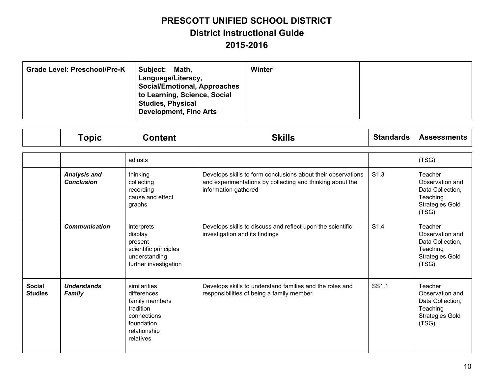| Subject:<br><b>Grade Level: Preschool/Pre-K</b><br>Math,<br>Language/Literacy,<br><b>Social/Emotional, Approaches</b><br>to Learning, Science, Social<br><b>Studies, Physical</b><br><b>Development, Fine Arts</b> | Winter |  |
|--------------------------------------------------------------------------------------------------------------------------------------------------------------------------------------------------------------------|--------|--|
|--------------------------------------------------------------------------------------------------------------------------------------------------------------------------------------------------------------------|--------|--|

|                                 | <b>Topic</b>                             | <b>Content</b>                                                                                                       | <b>Skills</b>                                                                                                                                     | <b>Standards</b> | <b>Assessments</b>                                                                            |
|---------------------------------|------------------------------------------|----------------------------------------------------------------------------------------------------------------------|---------------------------------------------------------------------------------------------------------------------------------------------------|------------------|-----------------------------------------------------------------------------------------------|
|                                 |                                          | adjusts                                                                                                              |                                                                                                                                                   |                  | (TSG)                                                                                         |
|                                 | <b>Analysis and</b><br><b>Conclusion</b> | thinking<br>collecting<br>recording<br>cause and effect<br>graphs                                                    | Develops skills to form conclusions about their observations<br>and experimentations by collecting and thinking about the<br>information gathered | S <sub>1.3</sub> | Teacher<br>Observation and<br>Data Collection,<br>Teaching<br><b>Strategies Gold</b><br>(TSG) |
|                                 | <b>Communication</b>                     | interprets<br>display<br>present<br>scientific principles<br>understanding<br>further investigation                  | Develops skills to discuss and reflect upon the scientific<br>investigation and its findings                                                      | S <sub>1.4</sub> | Teacher<br>Observation and<br>Data Collection,<br>Teaching<br><b>Strategies Gold</b><br>(TSG) |
| <b>Social</b><br><b>Studies</b> | <b>Understands</b><br><b>Family</b>      | similarities<br>differences<br>family members<br>tradition<br>connections<br>foundation<br>relationship<br>relatives | Develops skills to understand families and the roles and<br>responsibilities of being a family member                                             | SS1.1            | Teacher<br>Observation and<br>Data Collection,<br>Teaching<br><b>Strategies Gold</b><br>(TSG) |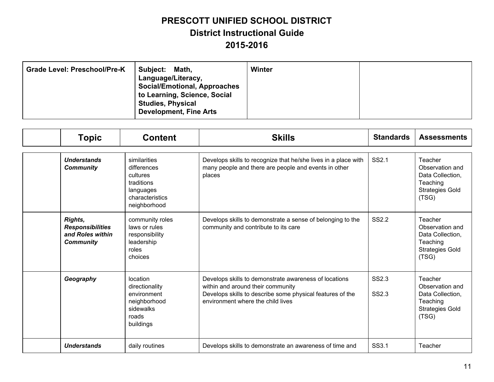| <b>Grade Level: Preschool/Pre-K</b> | Subject:<br>Math,<br>Language/Literacy,<br><b>Social/Emotional, Approaches</b><br>to Learning, Science, Social<br><b>Studies, Physical</b><br><b>Development, Fine Arts</b> | Winter |  |
|-------------------------------------|-----------------------------------------------------------------------------------------------------------------------------------------------------------------------------|--------|--|
|-------------------------------------|-----------------------------------------------------------------------------------------------------------------------------------------------------------------------------|--------|--|

| <b>Topic</b>                                                               | <b>Content</b>                                                                                        | <b>Skills</b>                                                                                                                                                                                | <b>Standards</b> | <b>Assessments</b>                                                                            |
|----------------------------------------------------------------------------|-------------------------------------------------------------------------------------------------------|----------------------------------------------------------------------------------------------------------------------------------------------------------------------------------------------|------------------|-----------------------------------------------------------------------------------------------|
| <b>Understands</b><br><b>Community</b>                                     | similarities<br>differences<br>cultures<br>traditions<br>languages<br>characteristics<br>neighborhood | Develops skills to recognize that he/she lives in a place with<br>many people and there are people and events in other<br>places                                                             | SS2.1            | Teacher<br>Observation and<br>Data Collection,<br>Teaching<br><b>Strategies Gold</b><br>(TSG) |
| Rights,<br><b>Responsibilities</b><br>and Roles within<br><b>Community</b> | community roles<br>laws or rules<br>responsibility<br>leadership<br>roles<br>choices                  | Develops skills to demonstrate a sense of belonging to the<br>community and contribute to its care                                                                                           | SS2.2            | Teacher<br>Observation and<br>Data Collection,<br>Teaching<br><b>Strategies Gold</b><br>(TSG) |
| Geography                                                                  | location<br>directionality<br>environment<br>neighborhood<br>sidewalks<br>roads<br>buildings          | Develops skills to demonstrate awareness of locations<br>within and around their community<br>Develops skills to describe some physical features of the<br>environment where the child lives | SS2.3<br>SS2.3   | Teacher<br>Observation and<br>Data Collection,<br>Teaching<br><b>Strategies Gold</b><br>(TSG) |
| <b>Understands</b>                                                         | daily routines                                                                                        | Develops skills to demonstrate an awareness of time and                                                                                                                                      | SS3.1            | Teacher                                                                                       |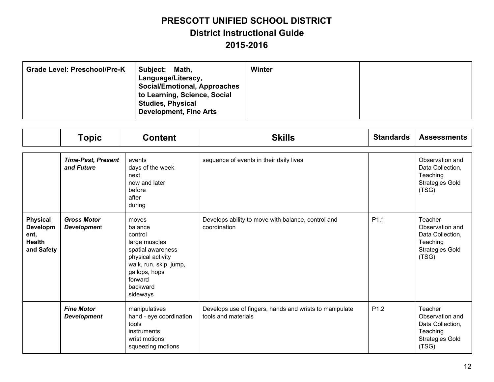| <b>Grade Level: Preschool/Pre-K</b><br>Subject:<br>Math,<br>Language/Literacy,<br><b>Social/Emotional, Approaches</b><br>to Learning, Science, Social<br><b>Studies, Physical</b><br><b>Development, Fine Arts</b> | Winter |  |
|--------------------------------------------------------------------------------------------------------------------------------------------------------------------------------------------------------------------|--------|--|
|--------------------------------------------------------------------------------------------------------------------------------------------------------------------------------------------------------------------|--------|--|

|                                                                    | <b>Topic</b>                             | <b>Content</b>                                                                                                                                                       | <b>Skills</b>                                                                  | <b>Standards</b> | <b>Assessments</b>                                                                            |
|--------------------------------------------------------------------|------------------------------------------|----------------------------------------------------------------------------------------------------------------------------------------------------------------------|--------------------------------------------------------------------------------|------------------|-----------------------------------------------------------------------------------------------|
|                                                                    | <b>Time-Past, Present</b><br>and Future  | events<br>days of the week<br>next<br>now and later<br>before<br>after<br>during                                                                                     | sequence of events in their daily lives                                        |                  | Observation and<br>Data Collection,<br>Teaching<br><b>Strategies Gold</b><br>(TSG)            |
| <b>Physical</b><br>Developm<br>ent,<br><b>Health</b><br>and Safety | <b>Gross Motor</b><br><b>Development</b> | moves<br>balance<br>control<br>large muscles<br>spatial awareness<br>physical activity<br>walk, run, skip, jump,<br>gallops, hops<br>forward<br>backward<br>sideways | Develops ability to move with balance, control and<br>coordination             | P <sub>1.1</sub> | Teacher<br>Observation and<br>Data Collection,<br>Teaching<br><b>Strategies Gold</b><br>(TSG) |
|                                                                    | <b>Fine Motor</b><br><b>Development</b>  | manipulatives<br>hand - eye coordination<br>tools<br>instruments<br>wrist motions<br>squeezing motions                                                               | Develops use of fingers, hands and wrists to manipulate<br>tools and materials | P <sub>1.2</sub> | Teacher<br>Observation and<br>Data Collection,<br>Teaching<br><b>Strategies Gold</b><br>(TSG) |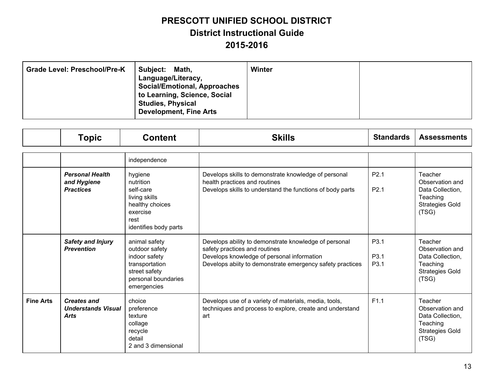| <b>Grade Level: Preschool/Pre-K</b><br>Subject: | Math,<br>Language/Literacy,<br><b>Social/Emotional, Approaches</b><br>to Learning, Science, Social<br><b>Studies, Physical</b><br><b>Development, Fine Arts</b> | Winter |  |
|-------------------------------------------------|-----------------------------------------------------------------------------------------------------------------------------------------------------------------|--------|--|
|-------------------------------------------------|-----------------------------------------------------------------------------------------------------------------------------------------------------------------|--------|--|

|                  | <b>Topic</b>                                                   | <b>Content</b>                                                                                                            | <b>Skills</b>                                                                                                                                                                                     | <b>Standards</b>                     | <b>Assessments</b>                                                                            |
|------------------|----------------------------------------------------------------|---------------------------------------------------------------------------------------------------------------------------|---------------------------------------------------------------------------------------------------------------------------------------------------------------------------------------------------|--------------------------------------|-----------------------------------------------------------------------------------------------|
|                  |                                                                |                                                                                                                           |                                                                                                                                                                                                   |                                      |                                                                                               |
|                  |                                                                | independence                                                                                                              |                                                                                                                                                                                                   |                                      |                                                                                               |
|                  | <b>Personal Health</b><br>and Hygiene<br><b>Practices</b>      | hygiene<br>nutrition<br>self-care<br>living skills<br>healthy choices<br>exercise<br>rest<br>identifies body parts        | Develops skills to demonstrate knowledge of personal<br>health practices and routines<br>Develops skills to understand the functions of body parts                                                | P <sub>2.1</sub><br>P <sub>2.1</sub> | Teacher<br>Observation and<br>Data Collection,<br>Teaching<br><b>Strategies Gold</b><br>(TSG) |
|                  | <b>Safety and Injury</b><br><b>Prevention</b>                  | animal safety<br>outdoor safety<br>indoor safety<br>transportation<br>street safety<br>personal boundaries<br>emergencies | Develops ability to demonstrate knowledge of personal<br>safety practices and routines<br>Develops knowledge of personal information<br>Develops abiity to demonstrate emergency safety practices | P3.1<br>P3.1<br>P3.1                 | Teacher<br>Observation and<br>Data Collection,<br>Teaching<br><b>Strategies Gold</b><br>(TSG) |
| <b>Fine Arts</b> | <b>Creates and</b><br><b>Understands Visual</b><br><b>Arts</b> | choice<br>preference<br>texture<br>collage<br>recycle<br>detail<br>2 and 3 dimensional                                    | Develops use of a variety of materials, media, tools,<br>techniques and process to explore, create and understand<br>art                                                                          | F1.1                                 | Teacher<br>Observation and<br>Data Collection,<br>Teaching<br><b>Strategies Gold</b><br>(TSG) |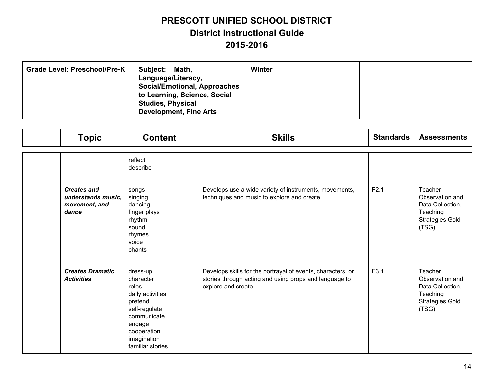| Grade Level: Preschool/Pre-K<br>Subject:<br>Math,<br>Language/Literacy,<br><b>Social/Emotional, Approaches</b><br>to Learning, Science, Social<br><b>Studies, Physical</b><br><b>Development, Fine Arts</b> | Winter |  |
|-------------------------------------------------------------------------------------------------------------------------------------------------------------------------------------------------------------|--------|--|
|-------------------------------------------------------------------------------------------------------------------------------------------------------------------------------------------------------------|--------|--|

| <b>Topic</b>                                                       | <b>Content</b>                                                                                                                                            | <b>Skills</b>                                                                                                                               | <b>Standards</b> | <b>Assessments</b>                                                                            |
|--------------------------------------------------------------------|-----------------------------------------------------------------------------------------------------------------------------------------------------------|---------------------------------------------------------------------------------------------------------------------------------------------|------------------|-----------------------------------------------------------------------------------------------|
|                                                                    | reflect<br>describe                                                                                                                                       |                                                                                                                                             |                  |                                                                                               |
| <b>Creates and</b><br>understands music.<br>movement, and<br>dance | songs<br>singing<br>dancing<br>finger plays<br>rhythm<br>sound<br>rhymes<br>voice<br>chants                                                               | Develops use a wide variety of instruments, movements,<br>techniques and music to explore and create                                        | F2.1             | Teacher<br>Observation and<br>Data Collection,<br>Teaching<br><b>Strategies Gold</b><br>(TSG) |
| <b>Creates Dramatic</b><br><b>Activities</b>                       | dress-up<br>character<br>roles<br>daily activities<br>pretend<br>self-regulate<br>communicate<br>engage<br>cooperation<br>imagination<br>familiar stories | Develops skills for the portrayal of events, characters, or<br>stories through acting and using props and language to<br>explore and create | F3.1             | Teacher<br>Observation and<br>Data Collection,<br>Teaching<br><b>Strategies Gold</b><br>(TSG) |